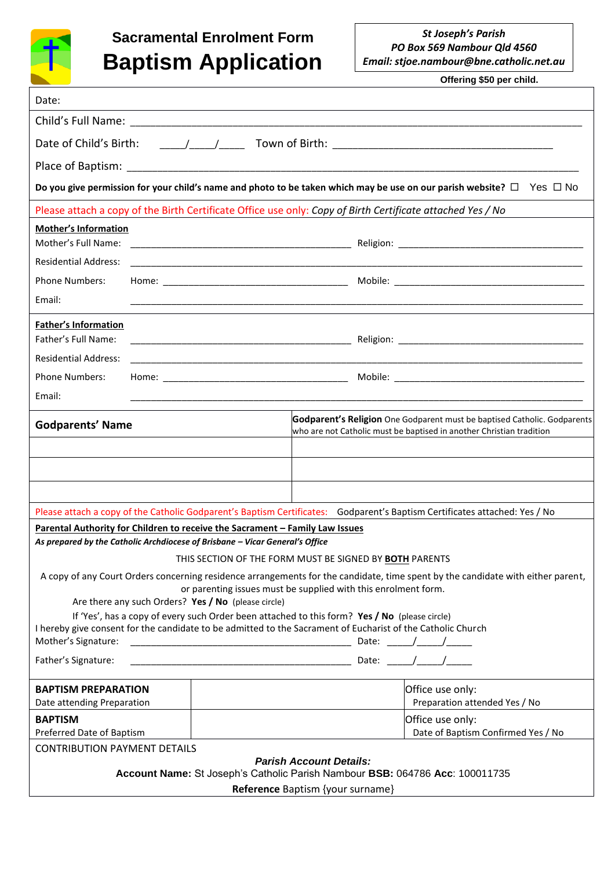

## **Sacramental Enrolment Form Baptism Application**

 **Offering \$50 per child.**

| Date:                                                                                                                                                                                                                               |  |                                                                                                                                                  |                                                        |
|-------------------------------------------------------------------------------------------------------------------------------------------------------------------------------------------------------------------------------------|--|--------------------------------------------------------------------------------------------------------------------------------------------------|--------------------------------------------------------|
|                                                                                                                                                                                                                                     |  |                                                                                                                                                  |                                                        |
|                                                                                                                                                                                                                                     |  |                                                                                                                                                  |                                                        |
|                                                                                                                                                                                                                                     |  |                                                                                                                                                  |                                                        |
| Do you give permission for your child's name and photo to be taken which may be use on our parish website? $\Box$ Yes $\Box$ No                                                                                                     |  |                                                                                                                                                  |                                                        |
| Please attach a copy of the Birth Certificate Office use only: Copy of Birth Certificate attached Yes / No                                                                                                                          |  |                                                                                                                                                  |                                                        |
| <b>Mother's Information</b><br>Mother's Full Name:                                                                                                                                                                                  |  |                                                                                                                                                  |                                                        |
| <b>Residential Address:</b>                                                                                                                                                                                                         |  |                                                                                                                                                  |                                                        |
| <b>Phone Numbers:</b>                                                                                                                                                                                                               |  |                                                                                                                                                  |                                                        |
| Email:                                                                                                                                                                                                                              |  |                                                                                                                                                  |                                                        |
| <b>Father's Information</b><br>Father's Full Name:                                                                                                                                                                                  |  |                                                                                                                                                  |                                                        |
| <b>Residential Address:</b>                                                                                                                                                                                                         |  |                                                                                                                                                  |                                                        |
| <b>Phone Numbers:</b>                                                                                                                                                                                                               |  |                                                                                                                                                  |                                                        |
| Email:                                                                                                                                                                                                                              |  |                                                                                                                                                  |                                                        |
| <b>Godparents' Name</b>                                                                                                                                                                                                             |  | Godparent's Religion One Godparent must be baptised Catholic. Godparents<br>who are not Catholic must be baptised in another Christian tradition |                                                        |
|                                                                                                                                                                                                                                     |  |                                                                                                                                                  |                                                        |
|                                                                                                                                                                                                                                     |  |                                                                                                                                                  |                                                        |
|                                                                                                                                                                                                                                     |  |                                                                                                                                                  |                                                        |
| Please attach a copy of the Catholic Godparent's Baptism Certificates: Godparent's Baptism Certificates attached: Yes / No<br>Parental Authority for Children to receive the Sacrament - Family Law Issues                          |  |                                                                                                                                                  |                                                        |
| As prepared by the Catholic Archdiocese of Brisbane - Vicar General's Office                                                                                                                                                        |  |                                                                                                                                                  |                                                        |
| THIS SECTION OF THE FORM MUST BE SIGNED BY BOTH PARENTS                                                                                                                                                                             |  |                                                                                                                                                  |                                                        |
| A copy of any Court Orders concerning residence arrangements for the candidate, time spent by the candidate with either parent,<br>or parenting issues must be supplied with this enrolment form.                                   |  |                                                                                                                                                  |                                                        |
| Are there any such Orders? Yes / No (please circle)                                                                                                                                                                                 |  |                                                                                                                                                  |                                                        |
| If 'Yes', has a copy of every such Order been attached to this form? Yes / No (please circle)<br>I hereby give consent for the candidate to be admitted to the Sacrament of Eucharist of the Catholic Church<br>Mother's Signature: |  |                                                                                                                                                  |                                                        |
| Father's Signature:                                                                                                                                                                                                                 |  |                                                                                                                                                  |                                                        |
| <b>BAPTISM PREPARATION</b><br>Date attending Preparation                                                                                                                                                                            |  |                                                                                                                                                  | Office use only:<br>Preparation attended Yes / No      |
| <b>BAPTISM</b><br>Preferred Date of Baptism                                                                                                                                                                                         |  |                                                                                                                                                  | Office use only:<br>Date of Baptism Confirmed Yes / No |
| <b>CONTRIBUTION PAYMENT DETAILS</b>                                                                                                                                                                                                 |  |                                                                                                                                                  |                                                        |
| <b>Parish Account Details:</b><br>Account Name: St Joseph's Catholic Parish Nambour BSB: 064786 Acc: 100011735                                                                                                                      |  |                                                                                                                                                  |                                                        |
| Reference Baptism {your surname}                                                                                                                                                                                                    |  |                                                                                                                                                  |                                                        |
|                                                                                                                                                                                                                                     |  |                                                                                                                                                  |                                                        |